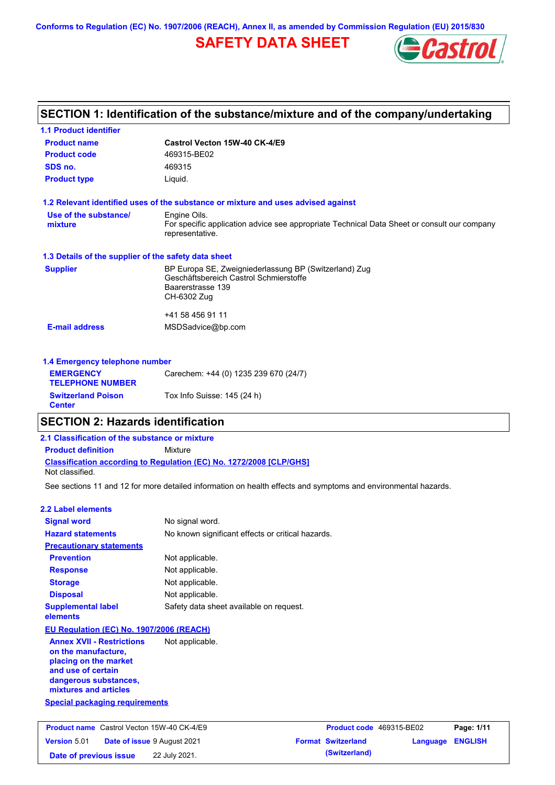**Conforms to Regulation (EC) No. 1907/2006 (REACH), Annex II, as amended by Commission Regulation (EU) 2015/830**

## **SAFETY DATA SHEET**



|                                                      | SECTION 1: Identification of the substance/mixture and of the company/undertaking                              |  |  |
|------------------------------------------------------|----------------------------------------------------------------------------------------------------------------|--|--|
| <b>1.1 Product identifier</b>                        |                                                                                                                |  |  |
| <b>Product name</b>                                  | Castrol Vecton 15W-40 CK-4/E9                                                                                  |  |  |
| <b>Product code</b>                                  | 469315-BE02                                                                                                    |  |  |
| SDS no.                                              | 469315                                                                                                         |  |  |
| <b>Product type</b>                                  | Liguid.                                                                                                        |  |  |
|                                                      | 1.2 Relevant identified uses of the substance or mixture and uses advised against                              |  |  |
| Use of the substance/                                | Engine Oils.                                                                                                   |  |  |
| mixture                                              | For specific application advice see appropriate Technical Data Sheet or consult our company<br>representative. |  |  |
| 1.3 Details of the supplier of the safety data sheet |                                                                                                                |  |  |
| <b>Supplier</b>                                      | BP Europa SE, Zweigniederlassung BP (Switzerland) Zug                                                          |  |  |
|                                                      | Geschäftsbereich Castrol Schmierstoffe<br>Baarerstrasse 139                                                    |  |  |
|                                                      | CH-6302 Zug                                                                                                    |  |  |
|                                                      | +41 58 456 91 11                                                                                               |  |  |
| <b>E-mail address</b>                                | MSDSadvice@bp.com                                                                                              |  |  |
| 1.4 Emergency telephone number                       |                                                                                                                |  |  |
| <b>EMERGENCY</b>                                     | Carechem: +44 (0) 1235 239 670 (24/7)                                                                          |  |  |
| <b>TELEPHONE NUMBER</b>                              |                                                                                                                |  |  |
| <b>Switzerland Poison</b>                            | Tox Info Suisse: 145 (24 h)                                                                                    |  |  |

### **SECTION 2: Hazards identification**

### **Classification according to Regulation (EC) No. 1272/2008 [CLP/GHS] 2.1 Classification of the substance or mixture Product definition** Mixture Not classified.

See sections 11 and 12 for more detailed information on health effects and symptoms and environmental hazards.

### **2.2 Label elements**

**Center**

| <b>Signal word</b>                                                                                                                                       | No signal word.                                   |
|----------------------------------------------------------------------------------------------------------------------------------------------------------|---------------------------------------------------|
| <b>Hazard statements</b>                                                                                                                                 | No known significant effects or critical hazards. |
| <b>Precautionary statements</b>                                                                                                                          |                                                   |
| <b>Prevention</b>                                                                                                                                        | Not applicable.                                   |
| <b>Response</b>                                                                                                                                          | Not applicable.                                   |
| <b>Storage</b>                                                                                                                                           | Not applicable.                                   |
| <b>Disposal</b>                                                                                                                                          | Not applicable.                                   |
| <b>Supplemental label</b><br>elements                                                                                                                    | Safety data sheet available on request.           |
| EU Regulation (EC) No. 1907/2006 (REACH)                                                                                                                 |                                                   |
| <b>Annex XVII - Restrictions</b><br>on the manufacture.<br>placing on the market<br>and use of certain<br>dangerous substances,<br>mixtures and articles | Not applicable.                                   |
| <b>Special packaging requirements</b>                                                                                                                    |                                                   |

|                        | <b>Product name</b> Castrol Vecton 15W-40 CK-4/E9 | <b>Product code</b> 469315-BE02 |                  | Page: 1/11 |
|------------------------|---------------------------------------------------|---------------------------------|------------------|------------|
| <b>Version 5.01</b>    | <b>Date of issue 9 August 2021</b>                | <b>Format Switzerland</b>       | Language ENGLISH |            |
| Date of previous issue | 22 July 2021.                                     | (Switzerland)                   |                  |            |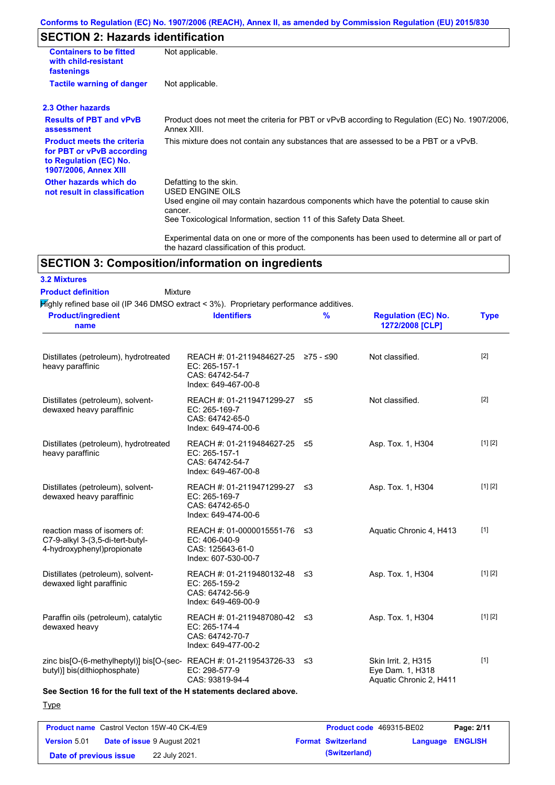### **Conforms to Regulation (EC) No. 1907/2006 (REACH), Annex II, as amended by Commission Regulation (EU) 2015/830**

# **SECTION 2: Hazards identification**

| <b>Containers to be fitted</b><br>with child-resistant<br>fastenings                                                     | Not applicable.                                                                                                                                                                                                                 |
|--------------------------------------------------------------------------------------------------------------------------|---------------------------------------------------------------------------------------------------------------------------------------------------------------------------------------------------------------------------------|
| <b>Tactile warning of danger</b>                                                                                         | Not applicable.                                                                                                                                                                                                                 |
| 2.3 Other hazards                                                                                                        |                                                                                                                                                                                                                                 |
| <b>Results of PBT and vPvB</b><br>assessment                                                                             | Product does not meet the criteria for PBT or vPvB according to Regulation (EC) No. 1907/2006,<br>Annex XIII.                                                                                                                   |
| <b>Product meets the criteria</b><br>for PBT or vPvB according<br>to Regulation (EC) No.<br><b>1907/2006, Annex XIII</b> | This mixture does not contain any substances that are assessed to be a PBT or a vPvB.                                                                                                                                           |
| Other hazards which do<br>not result in classification                                                                   | Defatting to the skin.<br><b>USED ENGINE OILS</b><br>Used engine oil may contain hazardous components which have the potential to cause skin<br>cancer.<br>See Toxicological Information, section 11 of this Safety Data Sheet. |
|                                                                                                                          | Experimental data on one or more of the components has been used to determine all or part of<br>the hazard classification of this product.                                                                                      |

## **SECTION 3: Composition/information on ingredients**

### **3.2 Mixtures**

#### Mixture **Product definition**

Highly refined base oil (IP 346 DMSO extract < 3%). Proprietary performance additives.

| <b>Product/ingredient</b><br>name                                                                          | <b>Identifiers</b>                                                                             | $\frac{9}{6}$ | <b>Regulation (EC) No.</b><br>1272/2008 [CLP]                      | <b>Type</b> |
|------------------------------------------------------------------------------------------------------------|------------------------------------------------------------------------------------------------|---------------|--------------------------------------------------------------------|-------------|
| Distillates (petroleum), hydrotreated<br>heavy paraffinic                                                  | REACH #: 01-2119484627-25 ≥75 - ≤90<br>EC: 265-157-1<br>CAS: 64742-54-7<br>Index: 649-467-00-8 |               | Not classified.                                                    | $[2]$       |
| Distillates (petroleum), solvent-<br>dewaxed heavy paraffinic                                              | REACH #: 01-2119471299-27 ≤5<br>EC: 265-169-7<br>CAS: 64742-65-0<br>Index: 649-474-00-6        |               | Not classified.                                                    | $[2]$       |
| Distillates (petroleum), hydrotreated<br>heavy paraffinic                                                  | REACH #: 01-2119484627-25 ≤5<br>EC: 265-157-1<br>CAS: 64742-54-7<br>Index: 649-467-00-8        |               | Asp. Tox. 1, H304                                                  | [1] [2]     |
| Distillates (petroleum), solvent-<br>dewaxed heavy paraffinic                                              | REACH #: 01-2119471299-27 ≤3<br>EC: 265-169-7<br>CAS: 64742-65-0<br>Index: 649-474-00-6        |               | Asp. Tox. 1, H304                                                  | [1] [2]     |
| reaction mass of isomers of:<br>C7-9-alkyl 3-(3,5-di-tert-butyl-<br>4-hydroxyphenyl)propionate             | REACH #: 01-0000015551-76 ≤3<br>EC: 406-040-9<br>CAS: 125643-61-0<br>Index: 607-530-00-7       |               | Aquatic Chronic 4, H413                                            | $[1]$       |
| Distillates (petroleum), solvent-<br>dewaxed light paraffinic                                              | REACH #: 01-2119480132-48 ≤3<br>EC: 265-159-2<br>CAS: 64742-56-9<br>Index: 649-469-00-9        |               | Asp. Tox. 1, H304                                                  | [1] [2]     |
| Paraffin oils (petroleum), catalytic<br>dewaxed heavy                                                      | REACH #: 01-2119487080-42 ≤3<br>EC: 265-174-4<br>CAS: 64742-70-7<br>Index: 649-477-00-2        |               | Asp. Tox. 1, H304                                                  | [1] [2]     |
| zinc bis[O-(6-methylheptyl)] bis[O-(sec-REACH #: 01-2119543726-33 $\leq$ 3<br>butyl)] bis(dithiophosphate) | EC: 298-577-9<br>CAS: 93819-94-4                                                               |               | Skin Irrit. 2, H315<br>Eye Dam. 1, H318<br>Aquatic Chronic 2, H411 | $[1]$       |

**See Section 16 for the full text of the H statements declared above.**

**Type** 

|                        | <b>Product name</b> Castrol Vecton 15W-40 CK-4/E9 | <b>Product code</b> 469315-BE02 |                         | Page: 2/11 |
|------------------------|---------------------------------------------------|---------------------------------|-------------------------|------------|
| <b>Version 5.01</b>    | <b>Date of issue 9 August 2021</b>                | <b>Format Switzerland</b>       | <b>Language ENGLISH</b> |            |
| Date of previous issue | 22 July 2021.                                     | (Switzerland)                   |                         |            |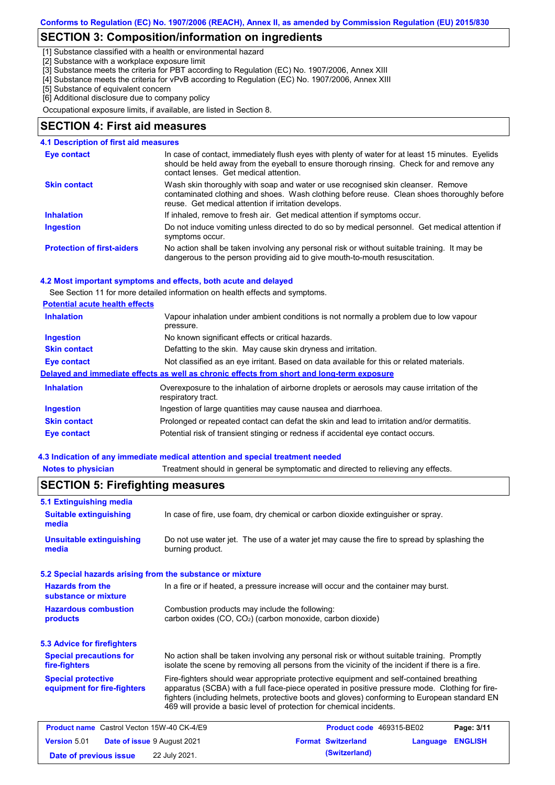### **SECTION 3: Composition/information on ingredients**

[1] Substance classified with a health or environmental hazard

[2] Substance with a workplace exposure limit

[3] Substance meets the criteria for PBT according to Regulation (EC) No. 1907/2006, Annex XIII

- [4] Substance meets the criteria for vPvB according to Regulation (EC) No. 1907/2006, Annex XIII
- [5] Substance of equivalent concern

[6] Additional disclosure due to company policy

Occupational exposure limits, if available, are listed in Section 8.

### **SECTION 4: First aid measures**

#### **4.1 Description of first aid measures**

| Eye contact                       | In case of contact, immediately flush eyes with plenty of water for at least 15 minutes. Eyelids<br>should be held away from the eyeball to ensure thorough rinsing. Check for and remove any<br>contact lenses. Get medical attention. |
|-----------------------------------|-----------------------------------------------------------------------------------------------------------------------------------------------------------------------------------------------------------------------------------------|
| <b>Skin contact</b>               | Wash skin thoroughly with soap and water or use recognised skin cleanser. Remove<br>contaminated clothing and shoes. Wash clothing before reuse. Clean shoes thoroughly before<br>reuse. Get medical attention if irritation develops.  |
| <b>Inhalation</b>                 | If inhaled, remove to fresh air. Get medical attention if symptoms occur.                                                                                                                                                               |
| <b>Ingestion</b>                  | Do not induce vomiting unless directed to do so by medical personnel. Get medical attention if<br>symptoms occur.                                                                                                                       |
| <b>Protection of first-aiders</b> | No action shall be taken involving any personal risk or without suitable training. It may be<br>dangerous to the person providing aid to give mouth-to-mouth resuscitation.                                                             |

#### **4.2 Most important symptoms and effects, both acute and delayed**

See Section 11 for more detailed information on health effects and symptoms.

#### **Potential acute health effects**

| <b>Inhalation</b>   | Vapour inhalation under ambient conditions is not normally a problem due to low vapour<br>pressure.               |
|---------------------|-------------------------------------------------------------------------------------------------------------------|
| <b>Ingestion</b>    | No known significant effects or critical hazards.                                                                 |
| <b>Skin contact</b> | Defatting to the skin. May cause skin dryness and irritation.                                                     |
| Eye contact         | Not classified as an eye irritant. Based on data available for this or related materials.                         |
|                     | Delayed and immediate effects as well as chronic effects from short and long-term exposure                        |
| <b>Inhalation</b>   | Overexposure to the inhalation of airborne droplets or aerosols may cause irritation of the<br>respiratory tract. |
| <b>Ingestion</b>    | Ingestion of large quantities may cause nausea and diarrhoea.                                                     |
| <b>Skin contact</b> | Prolonged or repeated contact can defat the skin and lead to irritation and/or dermatitis.                        |
| Eye contact         | Potential risk of transient stinging or redness if accidental eye contact occurs.                                 |

### **4.3 Indication of any immediate medical attention and special treatment needed**

**Date of previous issue 22 July 2021. (Switzerland) (Switzerland)** 

**Notes to physician** Treatment should in general be symptomatic and directed to relieving any effects.

#### No action shall be taken involving any personal risk or without suitable training. Promptly isolate the scene by removing all persons from the vicinity of the incident if there is a fire. **Hazardous combustion products Hazards from the substance or mixture** Combustion products may include the following: carbon oxides (CO, CO<sub>2</sub>) (carbon monoxide, carbon dioxide) In a fire or if heated, a pressure increase will occur and the container may burst. Fire-fighters should wear appropriate protective equipment and self-contained breathing apparatus (SCBA) with a full face-piece operated in positive pressure mode. Clothing for firefighters (including helmets, protective boots and gloves) conforming to European standard EN 469 will provide a basic level of protection for chemical incidents. **Special protective equipment for fire-fighters** In case of fire, use foam, dry chemical or carbon dioxide extinguisher or spray. **5.1 Extinguishing media** Do not use water jet. The use of a water jet may cause the fire to spread by splashing the burning product. **Suitable extinguishing media Unsuitable extinguishing media SECTION 5: Firefighting measures 5.2 Special hazards arising from the substance or mixture 5.3 Advice for firefighters Special precautions for fire-fighters Product name** Castrol Vecton 15W-40 CK-4/E9 **Product Code 469315-BE02 Page: 3/11 Version** 5.01 **Date of issue** 9 August 2021 **Format Switzerland Language ENGLISH**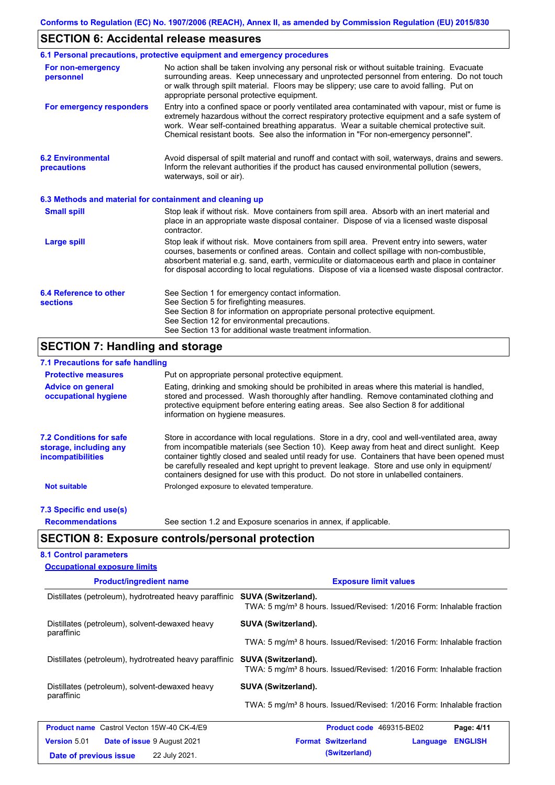## **SECTION 6: Accidental release measures**

|                                                          | 6.1 Personal precautions, protective equipment and emergency procedures                                                                                                                                                                                                                                                                                                                        |
|----------------------------------------------------------|------------------------------------------------------------------------------------------------------------------------------------------------------------------------------------------------------------------------------------------------------------------------------------------------------------------------------------------------------------------------------------------------|
| For non-emergency<br>personnel                           | No action shall be taken involving any personal risk or without suitable training. Evacuate<br>surrounding areas. Keep unnecessary and unprotected personnel from entering. Do not touch<br>or walk through spilt material. Floors may be slippery; use care to avoid falling. Put on<br>appropriate personal protective equipment.                                                            |
| For emergency responders                                 | Entry into a confined space or poorly ventilated area contaminated with vapour, mist or fume is<br>extremely hazardous without the correct respiratory protective equipment and a safe system of<br>work. Wear self-contained breathing apparatus. Wear a suitable chemical protective suit.<br>Chemical resistant boots. See also the information in "For non-emergency personnel".           |
| <b>6.2 Environmental</b><br>precautions                  | Avoid dispersal of spilt material and runoff and contact with soil, waterways, drains and sewers.<br>Inform the relevant authorities if the product has caused environmental pollution (sewers,<br>waterways, soil or air).                                                                                                                                                                    |
| 6.3 Methods and material for containment and cleaning up |                                                                                                                                                                                                                                                                                                                                                                                                |
| <b>Small spill</b>                                       | Stop leak if without risk. Move containers from spill area. Absorb with an inert material and<br>place in an appropriate waste disposal container. Dispose of via a licensed waste disposal<br>contractor.                                                                                                                                                                                     |
| <b>Large spill</b>                                       | Stop leak if without risk. Move containers from spill area. Prevent entry into sewers, water<br>courses, basements or confined areas. Contain and collect spillage with non-combustible,<br>absorbent material e.g. sand, earth, vermiculite or diatomaceous earth and place in container<br>for disposal according to local regulations. Dispose of via a licensed waste disposal contractor. |
| <b>6.4 Reference to other</b><br><b>sections</b>         | See Section 1 for emergency contact information.<br>See Section 5 for firefighting measures.<br>See Section 8 for information on appropriate personal protective equipment.<br>See Section 12 for environmental precautions.<br>See Section 13 for additional waste treatment information.                                                                                                     |
| <b>SECTION 7: Handling and storage</b>                   |                                                                                                                                                                                                                                                                                                                                                                                                |
|                                                          |                                                                                                                                                                                                                                                                                                                                                                                                |

#### **7.1 Precautions for safe handling**

| <b>Protective measures</b>                                                           | Put on appropriate personal protective equipment.                                                                                                                                                                                                                                                                                                                                                                                                                                        |
|--------------------------------------------------------------------------------------|------------------------------------------------------------------------------------------------------------------------------------------------------------------------------------------------------------------------------------------------------------------------------------------------------------------------------------------------------------------------------------------------------------------------------------------------------------------------------------------|
| <b>Advice on general</b><br>occupational hygiene                                     | Eating, drinking and smoking should be prohibited in areas where this material is handled,<br>stored and processed. Wash thoroughly after handling. Remove contaminated clothing and<br>protective equipment before entering eating areas. See also Section 8 for additional<br>information on hygiene measures.                                                                                                                                                                         |
| <b>7.2 Conditions for safe</b><br>storage, including any<br><i>incompatibilities</i> | Store in accordance with local requiations. Store in a dry, cool and well-ventilated area, away<br>from incompatible materials (see Section 10). Keep away from heat and direct sunlight. Keep<br>container tightly closed and sealed until ready for use. Containers that have been opened must<br>be carefully resealed and kept upright to prevent leakage. Store and use only in equipment/<br>containers designed for use with this product. Do not store in unlabelled containers. |
| <b>Not suitable</b>                                                                  | Prolonged exposure to elevated temperature.                                                                                                                                                                                                                                                                                                                                                                                                                                              |
| 7.3 Specific end use(s)                                                              |                                                                                                                                                                                                                                                                                                                                                                                                                                                                                          |
| <b>Recommendations</b>                                                               | See section 1.2 and Exposure scenarios in annex, if applicable.                                                                                                                                                                                                                                                                                                                                                                                                                          |

## **SECTION 8: Exposure controls/personal protection**

### **8.1 Control parameters Occupational exposure limits**

| <b>Product/ingredient name</b>                               | <b>Exposure limit values</b>                                                                             |  |  |
|--------------------------------------------------------------|----------------------------------------------------------------------------------------------------------|--|--|
| Distillates (petroleum), hydrotreated heavy paraffinic       | SUVA (Switzerland).<br>TWA: 5 mg/m <sup>3</sup> 8 hours. Issued/Revised: 1/2016 Form: Inhalable fraction |  |  |
| Distillates (petroleum), solvent-dewaxed heavy<br>paraffinic | SUVA (Switzerland).                                                                                      |  |  |
|                                                              | TWA: 5 mg/m <sup>3</sup> 8 hours. Issued/Revised: 1/2016 Form: Inhalable fraction                        |  |  |
| Distillates (petroleum), hydrotreated heavy paraffinic       | SUVA (Switzerland).<br>TWA: 5 mg/m <sup>3</sup> 8 hours. Issued/Revised: 1/2016 Form: Inhalable fraction |  |  |
| Distillates (petroleum), solvent-dewaxed heavy               | <b>SUVA (Switzerland).</b>                                                                               |  |  |
| paraffinic                                                   | TWA: 5 mg/m <sup>3</sup> 8 hours. Issued/Revised: 1/2016 Form: Inhalable fraction                        |  |  |
| <b>Product name</b> Castrol Vecton 15W-40 CK-4/E9            | <b>Product code</b> 469315-BE02<br>Page: 4/11                                                            |  |  |
| <b>Version 5.01</b><br><b>Date of issue 9 August 2021</b>    | <b>Format Switzerland</b><br><b>ENGLISH</b><br>Language                                                  |  |  |
| 22 July 2021.<br>Date of previous issue                      | (Switzerland)                                                                                            |  |  |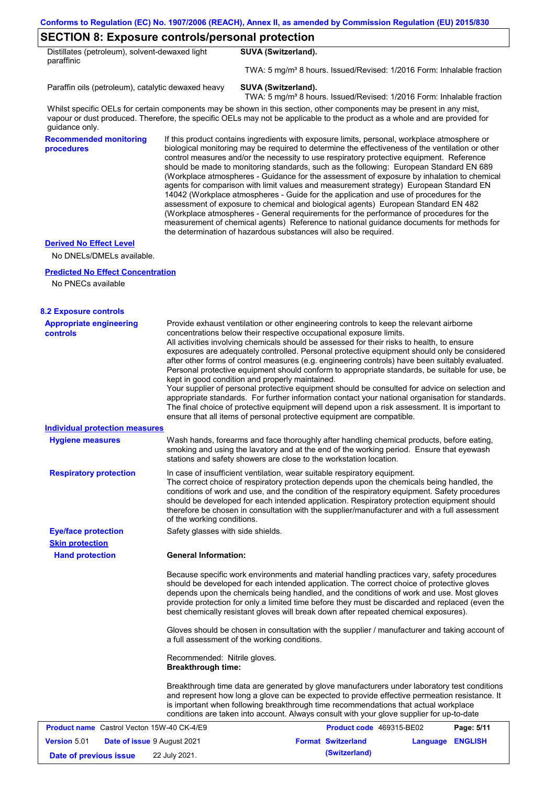### **SECTION 8: Exposure controls/personal protection**

| Distillates (petroleum), solvent-dewaxed light |  |
|------------------------------------------------|--|
| paraffinic                                     |  |

TWA: 5 mg/m<sup>3</sup> 8 hours. Issued/Revised: 1/2016 Form: Inhalable fraction

Paraffin oils (petroleum), catalytic dewaxed heavy **SUVA (Switzerland).** 

**SUVA (Switzerland).**

TWA: 5 mg/m<sup>3</sup> 8 hours. Issued/Revised: 1/2016 Form: Inhalable fraction

Whilst specific OELs for certain components may be shown in this section, other components may be present in any mist, vapour or dust produced. Therefore, the specific OELs may not be applicable to the product as a whole and are provided for guidance only.

**Recommended monitoring procedures**

If this product contains ingredients with exposure limits, personal, workplace atmosphere or biological monitoring may be required to determine the effectiveness of the ventilation or other control measures and/or the necessity to use respiratory protective equipment. Reference should be made to monitoring standards, such as the following: European Standard EN 689 (Workplace atmospheres - Guidance for the assessment of exposure by inhalation to chemical agents for comparison with limit values and measurement strategy) European Standard EN 14042 (Workplace atmospheres - Guide for the application and use of procedures for the assessment of exposure to chemical and biological agents) European Standard EN 482 (Workplace atmospheres - General requirements for the performance of procedures for the measurement of chemical agents) Reference to national guidance documents for methods for the determination of hazardous substances will also be required.

#### **Derived No Effect Level**

No DNELs/DMELs available.

#### **Predicted No Effect Concentration**

No PNECs available

| <b>8.2 Exposure controls</b>                              |                                                                                                                                                                                                                                                                                                                                                                                                                                                                                                                                                                                                                                                                                                                                                                                                                                                                                                                                                                                                         |                           |                  |            |  |  |
|-----------------------------------------------------------|---------------------------------------------------------------------------------------------------------------------------------------------------------------------------------------------------------------------------------------------------------------------------------------------------------------------------------------------------------------------------------------------------------------------------------------------------------------------------------------------------------------------------------------------------------------------------------------------------------------------------------------------------------------------------------------------------------------------------------------------------------------------------------------------------------------------------------------------------------------------------------------------------------------------------------------------------------------------------------------------------------|---------------------------|------------------|------------|--|--|
| <b>Appropriate engineering</b><br><b>controls</b>         | Provide exhaust ventilation or other engineering controls to keep the relevant airborne<br>concentrations below their respective occupational exposure limits.<br>All activities involving chemicals should be assessed for their risks to health, to ensure<br>exposures are adequately controlled. Personal protective equipment should only be considered<br>after other forms of control measures (e.g. engineering controls) have been suitably evaluated.<br>Personal protective equipment should conform to appropriate standards, be suitable for use, be<br>kept in good condition and properly maintained.<br>Your supplier of personal protective equipment should be consulted for advice on selection and<br>appropriate standards. For further information contact your national organisation for standards.<br>The final choice of protective equipment will depend upon a risk assessment. It is important to<br>ensure that all items of personal protective equipment are compatible. |                           |                  |            |  |  |
| <b>Individual protection measures</b>                     |                                                                                                                                                                                                                                                                                                                                                                                                                                                                                                                                                                                                                                                                                                                                                                                                                                                                                                                                                                                                         |                           |                  |            |  |  |
| <b>Hygiene measures</b>                                   | Wash hands, forearms and face thoroughly after handling chemical products, before eating,<br>smoking and using the lavatory and at the end of the working period. Ensure that eyewash<br>stations and safety showers are close to the workstation location.                                                                                                                                                                                                                                                                                                                                                                                                                                                                                                                                                                                                                                                                                                                                             |                           |                  |            |  |  |
| <b>Respiratory protection</b>                             | In case of insufficient ventilation, wear suitable respiratory equipment.<br>The correct choice of respiratory protection depends upon the chemicals being handled, the<br>conditions of work and use, and the condition of the respiratory equipment. Safety procedures<br>should be developed for each intended application. Respiratory protection equipment should<br>therefore be chosen in consultation with the supplier/manufacturer and with a full assessment<br>of the working conditions.                                                                                                                                                                                                                                                                                                                                                                                                                                                                                                   |                           |                  |            |  |  |
| <b>Eye/face protection</b>                                | Safety glasses with side shields.                                                                                                                                                                                                                                                                                                                                                                                                                                                                                                                                                                                                                                                                                                                                                                                                                                                                                                                                                                       |                           |                  |            |  |  |
| <b>Skin protection</b>                                    |                                                                                                                                                                                                                                                                                                                                                                                                                                                                                                                                                                                                                                                                                                                                                                                                                                                                                                                                                                                                         |                           |                  |            |  |  |
| <b>Hand protection</b>                                    | <b>General Information:</b>                                                                                                                                                                                                                                                                                                                                                                                                                                                                                                                                                                                                                                                                                                                                                                                                                                                                                                                                                                             |                           |                  |            |  |  |
|                                                           | Because specific work environments and material handling practices vary, safety procedures<br>should be developed for each intended application. The correct choice of protective gloves<br>depends upon the chemicals being handled, and the conditions of work and use. Most gloves<br>provide protection for only a limited time before they must be discarded and replaced (even the<br>best chemically resistant gloves will break down after repeated chemical exposures).                                                                                                                                                                                                                                                                                                                                                                                                                                                                                                                        |                           |                  |            |  |  |
|                                                           | Gloves should be chosen in consultation with the supplier / manufacturer and taking account of<br>a full assessment of the working conditions.                                                                                                                                                                                                                                                                                                                                                                                                                                                                                                                                                                                                                                                                                                                                                                                                                                                          |                           |                  |            |  |  |
|                                                           | Recommended: Nitrile gloves.<br><b>Breakthrough time:</b>                                                                                                                                                                                                                                                                                                                                                                                                                                                                                                                                                                                                                                                                                                                                                                                                                                                                                                                                               |                           |                  |            |  |  |
|                                                           | Breakthrough time data are generated by glove manufacturers under laboratory test conditions<br>and represent how long a glove can be expected to provide effective permeation resistance. It<br>is important when following breakthrough time recommendations that actual workplace<br>conditions are taken into account. Always consult with your glove supplier for up-to-date                                                                                                                                                                                                                                                                                                                                                                                                                                                                                                                                                                                                                       |                           |                  |            |  |  |
| <b>Product name</b> Castrol Vecton 15W-40 CK-4/E9         |                                                                                                                                                                                                                                                                                                                                                                                                                                                                                                                                                                                                                                                                                                                                                                                                                                                                                                                                                                                                         | Product code 469315-BE02  |                  | Page: 5/11 |  |  |
| <b>Version 5.01</b><br><b>Date of issue 9 August 2021</b> |                                                                                                                                                                                                                                                                                                                                                                                                                                                                                                                                                                                                                                                                                                                                                                                                                                                                                                                                                                                                         | <b>Format Switzerland</b> | Language ENGLISH |            |  |  |
| Date of previous issue                                    | 22 July 2021.                                                                                                                                                                                                                                                                                                                                                                                                                                                                                                                                                                                                                                                                                                                                                                                                                                                                                                                                                                                           | (Switzerland)             |                  |            |  |  |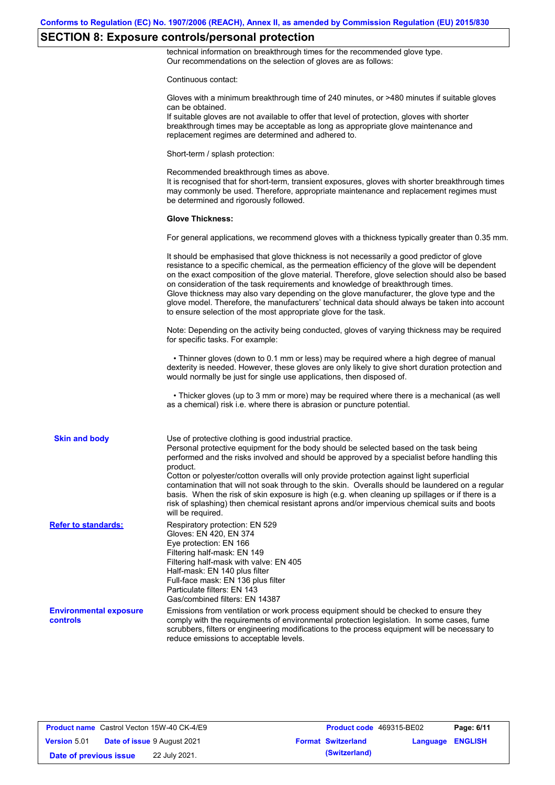## **SECTION 8: Exposure controls/personal protection**

technical information on breakthrough times for the recommended glove type. Our recommendations on the selection of gloves are as follows:

Continuous contact:

|                                           | Gloves with a minimum breakthrough time of 240 minutes, or >480 minutes if suitable gloves<br>can be obtained.<br>If suitable gloves are not available to offer that level of protection, gloves with shorter<br>breakthrough times may be acceptable as long as appropriate glove maintenance and<br>replacement regimes are determined and adhered to.                                                                                                                                                                                                                                                                                                                              |
|-------------------------------------------|---------------------------------------------------------------------------------------------------------------------------------------------------------------------------------------------------------------------------------------------------------------------------------------------------------------------------------------------------------------------------------------------------------------------------------------------------------------------------------------------------------------------------------------------------------------------------------------------------------------------------------------------------------------------------------------|
|                                           | Short-term / splash protection:                                                                                                                                                                                                                                                                                                                                                                                                                                                                                                                                                                                                                                                       |
|                                           | Recommended breakthrough times as above.<br>It is recognised that for short-term, transient exposures, gloves with shorter breakthrough times<br>may commonly be used. Therefore, appropriate maintenance and replacement regimes must<br>be determined and rigorously followed.                                                                                                                                                                                                                                                                                                                                                                                                      |
|                                           | <b>Glove Thickness:</b>                                                                                                                                                                                                                                                                                                                                                                                                                                                                                                                                                                                                                                                               |
|                                           | For general applications, we recommend gloves with a thickness typically greater than 0.35 mm.                                                                                                                                                                                                                                                                                                                                                                                                                                                                                                                                                                                        |
|                                           | It should be emphasised that glove thickness is not necessarily a good predictor of glove<br>resistance to a specific chemical, as the permeation efficiency of the glove will be dependent<br>on the exact composition of the glove material. Therefore, glove selection should also be based<br>on consideration of the task requirements and knowledge of breakthrough times.<br>Glove thickness may also vary depending on the glove manufacturer, the glove type and the<br>glove model. Therefore, the manufacturers' technical data should always be taken into account<br>to ensure selection of the most appropriate glove for the task.                                     |
|                                           | Note: Depending on the activity being conducted, gloves of varying thickness may be required<br>for specific tasks. For example:                                                                                                                                                                                                                                                                                                                                                                                                                                                                                                                                                      |
|                                           | • Thinner gloves (down to 0.1 mm or less) may be required where a high degree of manual<br>dexterity is needed. However, these gloves are only likely to give short duration protection and<br>would normally be just for single use applications, then disposed of.                                                                                                                                                                                                                                                                                                                                                                                                                  |
|                                           | • Thicker gloves (up to 3 mm or more) may be required where there is a mechanical (as well<br>as a chemical) risk i.e. where there is abrasion or puncture potential.                                                                                                                                                                                                                                                                                                                                                                                                                                                                                                                 |
| <b>Skin and body</b>                      | Use of protective clothing is good industrial practice.<br>Personal protective equipment for the body should be selected based on the task being<br>performed and the risks involved and should be approved by a specialist before handling this<br>product.<br>Cotton or polyester/cotton overalls will only provide protection against light superficial<br>contamination that will not soak through to the skin. Overalls should be laundered on a regular<br>basis. When the risk of skin exposure is high (e.g. when cleaning up spillages or if there is a<br>risk of splashing) then chemical resistant aprons and/or impervious chemical suits and boots<br>will be required. |
| <b>Refer to standards:</b>                | Respiratory protection: EN 529<br>Gloves: EN 420, EN 374<br>Eye protection: EN 166<br>Filtering half-mask: EN 149<br>Filtering half-mask with valve: EN 405<br>Half-mask: EN 140 plus filter<br>Full-face mask: EN 136 plus filter<br>Particulate filters: EN 143<br>Gas/combined filters: EN 14387                                                                                                                                                                                                                                                                                                                                                                                   |
| <b>Environmental exposure</b><br>controls | Emissions from ventilation or work process equipment should be checked to ensure they<br>comply with the requirements of environmental protection legislation. In some cases, fume<br>scrubbers, filters or engineering modifications to the process equipment will be necessary to<br>reduce emissions to acceptable levels.                                                                                                                                                                                                                                                                                                                                                         |
|                                           |                                                                                                                                                                                                                                                                                                                                                                                                                                                                                                                                                                                                                                                                                       |

| <b>Product name</b> Castrol Vecton 15W-40 CK-4/E9 |                                    | Product code 469315-BE02  |                  | Page: 6/11 |
|---------------------------------------------------|------------------------------------|---------------------------|------------------|------------|
| <b>Version 5.01</b>                               | <b>Date of issue 9 August 2021</b> | <b>Format Switzerland</b> | Language ENGLISH |            |
| Date of previous issue                            | 22 July 2021.                      | (Switzerland)             |                  |            |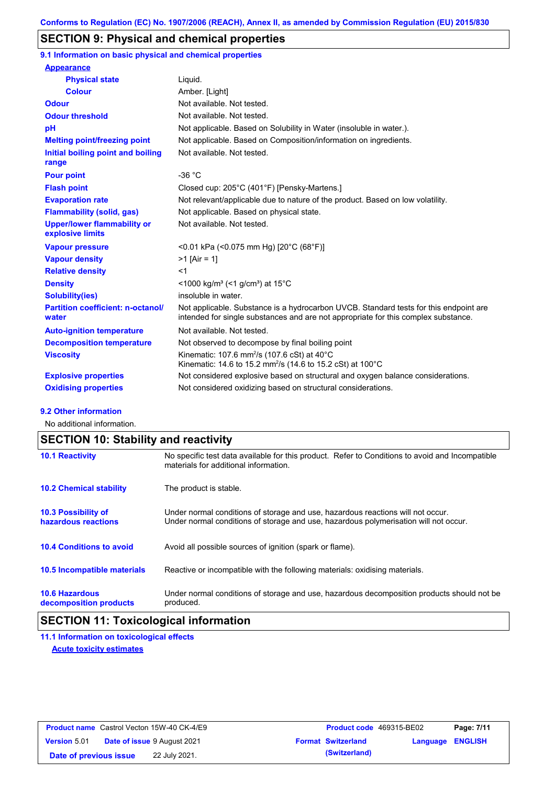### **SECTION 9: Physical and chemical properties**

**9.1 Information on basic physical and chemical properties**

| <b>Appearance</b>                                      |                                                                                                                                                                             |
|--------------------------------------------------------|-----------------------------------------------------------------------------------------------------------------------------------------------------------------------------|
| <b>Physical state</b>                                  | Liquid.                                                                                                                                                                     |
| <b>Colour</b>                                          | Amber. [Light]                                                                                                                                                              |
| <b>Odour</b>                                           | Not available. Not tested.                                                                                                                                                  |
| <b>Odour threshold</b>                                 | Not available. Not tested.                                                                                                                                                  |
| pH                                                     | Not applicable. Based on Solubility in Water (insoluble in water.).                                                                                                         |
| <b>Melting point/freezing point</b>                    | Not applicable. Based on Composition/information on ingredients.                                                                                                            |
| Initial boiling point and boiling<br>range             | Not available. Not tested.                                                                                                                                                  |
| <b>Pour point</b>                                      | $-36 °C$                                                                                                                                                                    |
| <b>Flash point</b>                                     | Closed cup: 205°C (401°F) [Pensky-Martens.]                                                                                                                                 |
| <b>Evaporation rate</b>                                | Not relevant/applicable due to nature of the product. Based on low volatility.                                                                                              |
| <b>Flammability (solid, gas)</b>                       | Not applicable. Based on physical state.                                                                                                                                    |
| <b>Upper/lower flammability or</b><br>explosive limits | Not available. Not tested.                                                                                                                                                  |
| <b>Vapour pressure</b>                                 | <0.01 kPa (<0.075 mm Hg) [20°C (68°F)]                                                                                                                                      |
| <b>Vapour density</b>                                  | $>1$ [Air = 1]                                                                                                                                                              |
| <b>Relative density</b>                                | $<$ 1                                                                                                                                                                       |
| <b>Density</b>                                         | $\leq$ 1000 kg/m <sup>3</sup> ( $\leq$ 1 g/cm <sup>3</sup> ) at 15 <sup>°</sup> C                                                                                           |
| <b>Solubility(ies)</b>                                 | insoluble in water.                                                                                                                                                         |
| <b>Partition coefficient: n-octanol/</b><br>water      | Not applicable. Substance is a hydrocarbon UVCB. Standard tests for this endpoint are<br>intended for single substances and are not appropriate for this complex substance. |
| <b>Auto-ignition temperature</b>                       | Not available. Not tested.                                                                                                                                                  |
| <b>Decomposition temperature</b>                       | Not observed to decompose by final boiling point                                                                                                                            |
| <b>Viscosity</b>                                       | Kinematic: 107.6 mm <sup>2</sup> /s (107.6 cSt) at $40^{\circ}$ C<br>Kinematic: 14.6 to 15.2 mm <sup>2</sup> /s (14.6 to 15.2 cSt) at 100°C                                 |
| <b>Explosive properties</b>                            | Not considered explosive based on structural and oxygen balance considerations.                                                                                             |
| <b>Oxidising properties</b>                            | Not considered oxidizing based on structural considerations.                                                                                                                |

#### **9.2 Other information**

No additional information.

## **SECTION 10: Stability and reactivity**

| <b>10.1 Reactivity</b>                            | No specific test data available for this product. Refer to Conditions to avoid and Incompatible<br>materials for additional information.                                |
|---------------------------------------------------|-------------------------------------------------------------------------------------------------------------------------------------------------------------------------|
| <b>10.2 Chemical stability</b>                    | The product is stable.                                                                                                                                                  |
| <b>10.3 Possibility of</b><br>hazardous reactions | Under normal conditions of storage and use, hazardous reactions will not occur.<br>Under normal conditions of storage and use, hazardous polymerisation will not occur. |
| <b>10.4 Conditions to avoid</b>                   | Avoid all possible sources of ignition (spark or flame).                                                                                                                |
| <b>10.5 Incompatible materials</b>                | Reactive or incompatible with the following materials: oxidising materials.                                                                                             |
| <b>10.6 Hazardous</b><br>decomposition products   | Under normal conditions of storage and use, hazardous decomposition products should not be<br>produced.                                                                 |

## **SECTION 11: Toxicological information**

**11.1 Information on toxicological effects Acute toxicity estimates**

|                        | <b>Product name</b> Castrol Vecton 15W-40 CK-4/E9 | <b>Product code</b> 469315-BE02 |                  | Page: 7/11 |
|------------------------|---------------------------------------------------|---------------------------------|------------------|------------|
| <b>Version 5.01</b>    | <b>Date of issue 9 August 2021</b>                | <b>Format Switzerland</b>       | Language ENGLISH |            |
| Date of previous issue | 22 July 2021.                                     | (Switzerland)                   |                  |            |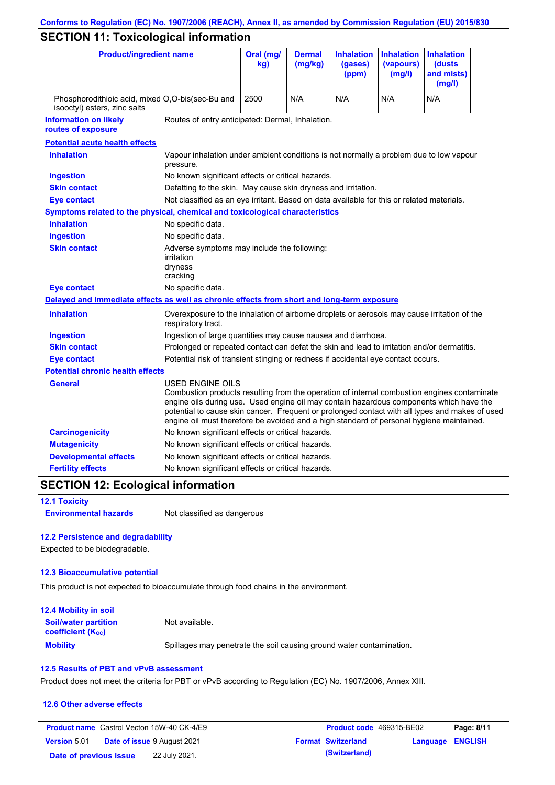# **Conforms to Regulation (EC) No. 1907/2006 (REACH), Annex II, as amended by Commission Regulation (EU) 2015/830**

## **SECTION 11: Toxicological information**

| <b>Product/ingredient name</b>                                                                         |                                                                                                                                                                                                                                                                                                                                                                                                          | Oral (mg/<br>kg)                                                                           | <b>Dermal</b><br>(mg/kg) | <b>Inhalation</b><br>(gases)<br>(ppm) | <b>Inhalation</b><br>(vapours)<br>(mg/l) | <b>Inhalation</b><br>(dusts)<br>and mists)<br>(mg/l) |
|--------------------------------------------------------------------------------------------------------|----------------------------------------------------------------------------------------------------------------------------------------------------------------------------------------------------------------------------------------------------------------------------------------------------------------------------------------------------------------------------------------------------------|--------------------------------------------------------------------------------------------|--------------------------|---------------------------------------|------------------------------------------|------------------------------------------------------|
| Phosphorodithioic acid, mixed O,O-bis(sec-Bu and<br>isooctyl) esters, zinc salts                       |                                                                                                                                                                                                                                                                                                                                                                                                          | 2500                                                                                       | N/A                      | N/A                                   | N/A                                      | N/A                                                  |
| <b>Information on likely</b><br>Routes of entry anticipated: Dermal, Inhalation.<br>routes of exposure |                                                                                                                                                                                                                                                                                                                                                                                                          |                                                                                            |                          |                                       |                                          |                                                      |
| <b>Potential acute health effects</b>                                                                  |                                                                                                                                                                                                                                                                                                                                                                                                          |                                                                                            |                          |                                       |                                          |                                                      |
| <b>Inhalation</b>                                                                                      | Vapour inhalation under ambient conditions is not normally a problem due to low vapour<br>pressure.                                                                                                                                                                                                                                                                                                      |                                                                                            |                          |                                       |                                          |                                                      |
| <b>Ingestion</b>                                                                                       | No known significant effects or critical hazards.                                                                                                                                                                                                                                                                                                                                                        |                                                                                            |                          |                                       |                                          |                                                      |
| <b>Skin contact</b>                                                                                    | Defatting to the skin. May cause skin dryness and irritation.                                                                                                                                                                                                                                                                                                                                            |                                                                                            |                          |                                       |                                          |                                                      |
| <b>Eye contact</b>                                                                                     | Not classified as an eye irritant. Based on data available for this or related materials.                                                                                                                                                                                                                                                                                                                |                                                                                            |                          |                                       |                                          |                                                      |
| <b>Symptoms related to the physical, chemical and toxicological characteristics</b>                    |                                                                                                                                                                                                                                                                                                                                                                                                          |                                                                                            |                          |                                       |                                          |                                                      |
| <b>Inhalation</b>                                                                                      | No specific data.                                                                                                                                                                                                                                                                                                                                                                                        |                                                                                            |                          |                                       |                                          |                                                      |
| <b>Ingestion</b>                                                                                       | No specific data.                                                                                                                                                                                                                                                                                                                                                                                        |                                                                                            |                          |                                       |                                          |                                                      |
| <b>Skin contact</b>                                                                                    | Adverse symptoms may include the following:<br>irritation<br>dryness<br>cracking                                                                                                                                                                                                                                                                                                                         |                                                                                            |                          |                                       |                                          |                                                      |
| <b>Eye contact</b>                                                                                     | No specific data.                                                                                                                                                                                                                                                                                                                                                                                        |                                                                                            |                          |                                       |                                          |                                                      |
| Delayed and immediate effects as well as chronic effects from short and long-term exposure             |                                                                                                                                                                                                                                                                                                                                                                                                          |                                                                                            |                          |                                       |                                          |                                                      |
| <b>Inhalation</b>                                                                                      | Overexposure to the inhalation of airborne droplets or aerosols may cause irritation of the<br>respiratory tract.                                                                                                                                                                                                                                                                                        |                                                                                            |                          |                                       |                                          |                                                      |
| <b>Ingestion</b>                                                                                       |                                                                                                                                                                                                                                                                                                                                                                                                          | Ingestion of large quantities may cause nausea and diarrhoea.                              |                          |                                       |                                          |                                                      |
| <b>Skin contact</b>                                                                                    |                                                                                                                                                                                                                                                                                                                                                                                                          | Prolonged or repeated contact can defat the skin and lead to irritation and/or dermatitis. |                          |                                       |                                          |                                                      |
| <b>Eye contact</b>                                                                                     |                                                                                                                                                                                                                                                                                                                                                                                                          | Potential risk of transient stinging or redness if accidental eye contact occurs.          |                          |                                       |                                          |                                                      |
| <b>Potential chronic health effects</b>                                                                |                                                                                                                                                                                                                                                                                                                                                                                                          |                                                                                            |                          |                                       |                                          |                                                      |
| General                                                                                                | USED ENGINE OILS<br>Combustion products resulting from the operation of internal combustion engines contaminate<br>engine oils during use. Used engine oil may contain hazardous components which have the<br>potential to cause skin cancer. Frequent or prolonged contact with all types and makes of used<br>engine oil must therefore be avoided and a high standard of personal hygiene maintained. |                                                                                            |                          |                                       |                                          |                                                      |
| <b>Carcinogenicity</b>                                                                                 | No known significant effects or critical hazards.                                                                                                                                                                                                                                                                                                                                                        |                                                                                            |                          |                                       |                                          |                                                      |
| <b>Mutagenicity</b>                                                                                    | No known significant effects or critical hazards.                                                                                                                                                                                                                                                                                                                                                        |                                                                                            |                          |                                       |                                          |                                                      |
| <b>Developmental effects</b>                                                                           | No known significant effects or critical hazards.                                                                                                                                                                                                                                                                                                                                                        |                                                                                            |                          |                                       |                                          |                                                      |
| <b>Fertility effects</b>                                                                               | No known significant effects or critical hazards.                                                                                                                                                                                                                                                                                                                                                        |                                                                                            |                          |                                       |                                          |                                                      |

### **SECTION 12: Ecological information**

**12.1 Toxicity**

**Environmental hazards** Not classified as dangerous

### **12.2 Persistence and degradability**

Expected to be biodegradable.

### **12.3 Bioaccumulative potential**

This product is not expected to bioaccumulate through food chains in the environment.

| <b>12.4 Mobility in soil</b>                                         |                                                                      |
|----------------------------------------------------------------------|----------------------------------------------------------------------|
| <b>Soil/water partition</b><br><b>coefficient</b> (K <sub>oc</sub> ) | Not available.                                                       |
| <b>Mobility</b>                                                      | Spillages may penetrate the soil causing ground water contamination. |

### **12.5 Results of PBT and vPvB assessment**

Product does not meet the criteria for PBT or vPvB according to Regulation (EC) No. 1907/2006, Annex XIII.

#### **12.6 Other adverse effects**

|                        | <b>Product name</b> Castrol Vecton 15W-40 CK-4/E9 | <b>Product code</b> 469315-BE02 |                  | Page: 8/11 |
|------------------------|---------------------------------------------------|---------------------------------|------------------|------------|
| <b>Version 5.01</b>    | <b>Date of issue 9 August 2021</b>                | <b>Format Switzerland</b>       | Language ENGLISH |            |
| Date of previous issue | 22 July 2021.                                     | (Switzerland)                   |                  |            |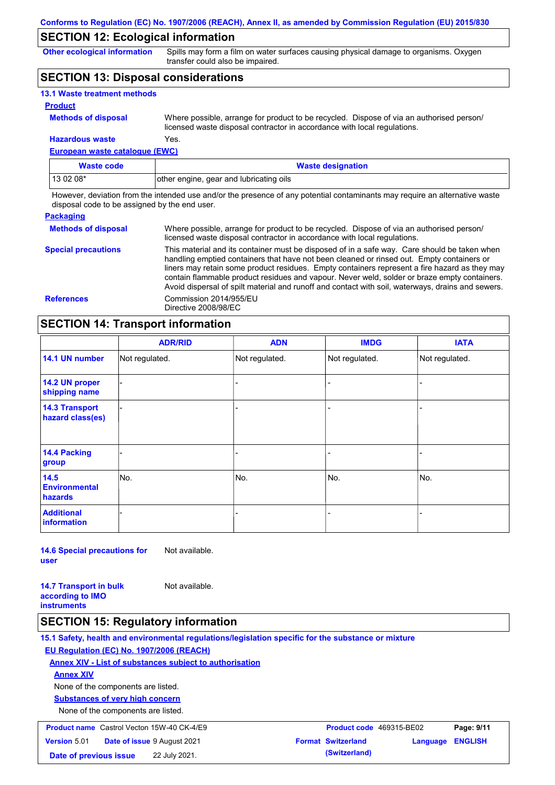### **SECTION 12: Ecological information**

**Other ecological information**

Spills may form a film on water surfaces causing physical damage to organisms. Oxygen transfer could also be impaired.

### **SECTION 13: Disposal considerations**

| <b>13.1 Waste treatment methods</b> |                                                                                                                                                                      |
|-------------------------------------|----------------------------------------------------------------------------------------------------------------------------------------------------------------------|
| <b>Product</b>                      |                                                                                                                                                                      |
| <b>Methods of disposal</b>          | Where possible, arrange for product to be recycled. Dispose of via an authorised person/<br>licensed waste disposal contractor in accordance with local regulations. |
| <b>Hazardous waste</b>              | Yes.                                                                                                                                                                 |

**European waste catalogue (EWC)**

| Waste code | <b>Waste designation</b>                |  |
|------------|-----------------------------------------|--|
| 13 02 08*  | other engine, gear and lubricating oils |  |

However, deviation from the intended use and/or the presence of any potential contaminants may require an alternative waste disposal code to be assigned by the end user.

| <b>Packaging</b>           |                                                                                                                                                                                                                                                                                                                                                                                                                                                                                                 |
|----------------------------|-------------------------------------------------------------------------------------------------------------------------------------------------------------------------------------------------------------------------------------------------------------------------------------------------------------------------------------------------------------------------------------------------------------------------------------------------------------------------------------------------|
| <b>Methods of disposal</b> | Where possible, arrange for product to be recycled. Dispose of via an authorised person/<br>licensed waste disposal contractor in accordance with local regulations.                                                                                                                                                                                                                                                                                                                            |
| <b>Special precautions</b> | This material and its container must be disposed of in a safe way. Care should be taken when<br>handling emptied containers that have not been cleaned or rinsed out. Empty containers or<br>liners may retain some product residues. Empty containers represent a fire hazard as they may<br>contain flammable product residues and vapour. Never weld, solder or braze empty containers.<br>Avoid dispersal of spilt material and runoff and contact with soil, waterways, drains and sewers. |
| <b>References</b>          | Commission 2014/955/EU<br>Directive 2008/98/EC                                                                                                                                                                                                                                                                                                                                                                                                                                                  |

### **SECTION 14: Transport information**

|                                           | <b>ADR/RID</b> | <b>ADN</b>     | <b>IMDG</b>    | <b>IATA</b>    |  |  |
|-------------------------------------------|----------------|----------------|----------------|----------------|--|--|
| 14.1 UN number                            | Not regulated. | Not regulated. | Not regulated. | Not regulated. |  |  |
| 14.2 UN proper<br>shipping name           |                |                | -              |                |  |  |
| <b>14.3 Transport</b><br>hazard class(es) |                |                | -              |                |  |  |
| 14.4 Packing<br>group                     |                |                | -              |                |  |  |
| 14.5<br><b>Environmental</b><br>hazards   | No.            | No.            | No.            | No.            |  |  |
| <b>Additional</b><br><b>information</b>   |                |                |                |                |  |  |

**14.6 Special precautions for user** Not available.

**14.7 Transport in bulk according to IMO instruments** Not available.

### **SECTION 15: Regulatory information**

**15.1 Safety, health and environmental regulations/legislation specific for the substance or mixture EU Regulation (EC) No. 1907/2006 (REACH) Annex XIV - List of substances subject to authorisation Substances of very high concern** None of the components are listed. None of the components are listed. **Annex XIV Product name** Castrol Vecton 15W-40 CK-4/E9 **Product code** 469315-BE02 **Page: 9/11**

|                        | <b>Product name</b> Castrol Vecton 15W-40 CK-4/E9 | <b>Product code</b> 469315-BE02 |                  | Page: 9/11 |
|------------------------|---------------------------------------------------|---------------------------------|------------------|------------|
| <b>Version 5.01</b>    | <b>Date of issue 9 August 2021</b>                | <b>Format Switzerland</b>       | Language ENGLISH |            |
| Date of previous issue | 22 July 2021.                                     | (Switzerland)                   |                  |            |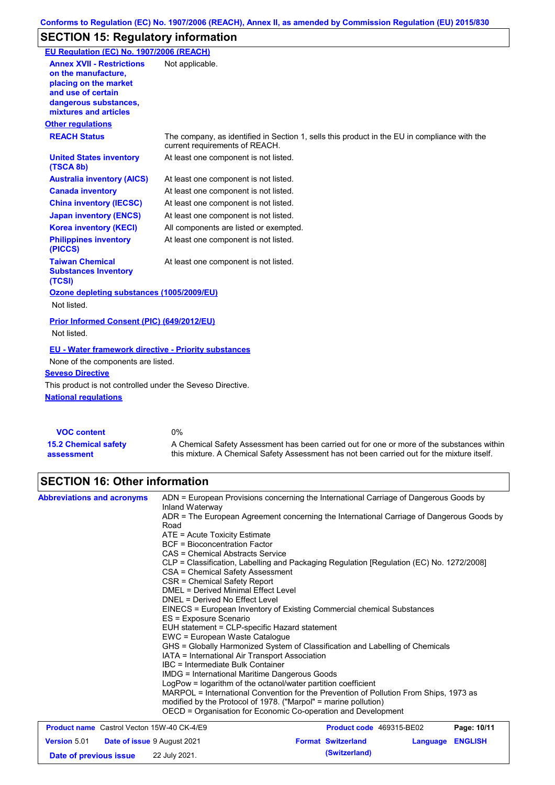## **SECTION 15: Regulatory information**

| EU Regulation (EC) No. 1907/2006 (REACH)                                                                                                                 |                                                                                                                                |
|----------------------------------------------------------------------------------------------------------------------------------------------------------|--------------------------------------------------------------------------------------------------------------------------------|
| <b>Annex XVII - Restrictions</b><br>on the manufacture.<br>placing on the market<br>and use of certain<br>dangerous substances,<br>mixtures and articles | Not applicable.                                                                                                                |
| <b>Other regulations</b>                                                                                                                                 |                                                                                                                                |
| <b>REACH Status</b>                                                                                                                                      | The company, as identified in Section 1, sells this product in the EU in compliance with the<br>current requirements of REACH. |
| <b>United States inventory</b><br>(TSCA 8b)                                                                                                              | At least one component is not listed.                                                                                          |
| <b>Australia inventory (AICS)</b>                                                                                                                        | At least one component is not listed.                                                                                          |
| <b>Canada inventory</b>                                                                                                                                  | At least one component is not listed.                                                                                          |
| <b>China inventory (IECSC)</b>                                                                                                                           | At least one component is not listed.                                                                                          |
| <b>Japan inventory (ENCS)</b>                                                                                                                            | At least one component is not listed.                                                                                          |
| <b>Korea inventory (KECI)</b>                                                                                                                            | All components are listed or exempted.                                                                                         |
| <b>Philippines inventory</b><br>(PICCS)                                                                                                                  | At least one component is not listed.                                                                                          |
| <b>Taiwan Chemical</b><br><b>Substances Inventory</b><br>(TCSI)                                                                                          | At least one component is not listed.                                                                                          |
| Ozone depleting substances (1005/2009/EU)<br>Not listed.                                                                                                 |                                                                                                                                |
| Prior Informed Consent (PIC) (649/2012/EU)<br>Not listed.                                                                                                |                                                                                                                                |
| <b>EU - Water framework directive - Priority substances</b><br>None of the components are listed.<br><b>Seveso Directive</b>                             |                                                                                                                                |
| This product is not controlled under the Seveso Directive.<br><b>National regulations</b>                                                                |                                                                                                                                |
| <b>VOC content</b>                                                                                                                                       | 0%                                                                                                                             |

| <b>VOC content</b>          | 0%                                                                                          |
|-----------------------------|---------------------------------------------------------------------------------------------|
| <b>15.2 Chemical safety</b> | A Chemical Safety Assessment has been carried out for one or more of the substances within  |
| assessment                  | this mixture. A Chemical Safety Assessment has not been carried out for the mixture itself. |

# **SECTION 16: Other information**

| <b>Abbreviations and acronyms</b>                         | ADN = European Provisions concerning the International Carriage of Dangerous Goods by<br>Inland Waterway<br>ADR = The European Agreement concerning the International Carriage of Dangerous Goods by<br>Road<br>$ATE = Acute Toxicity Estimate$<br><b>BCF</b> = Bioconcentration Factor<br>CAS = Chemical Abstracts Service<br>CLP = Classification, Labelling and Packaging Regulation [Regulation (EC) No. 1272/2008]<br>CSA = Chemical Safety Assessment<br>CSR = Chemical Safety Report<br>DMEL = Derived Minimal Effect Level<br>DNEL = Derived No Effect Level<br>EINECS = European Inventory of Existing Commercial chemical Substances<br>ES = Exposure Scenario<br>EUH statement = CLP-specific Hazard statement<br>EWC = European Waste Catalogue<br>GHS = Globally Harmonized System of Classification and Labelling of Chemicals<br>IATA = International Air Transport Association<br>IBC = Intermediate Bulk Container<br>IMDG = International Maritime Dangerous Goods<br>LogPow = logarithm of the octanol/water partition coefficient<br>MARPOL = International Convention for the Prevention of Pollution From Ships, 1973 as<br>modified by the Protocol of 1978. ("Marpol" = marine pollution) |                                 |          |                |
|-----------------------------------------------------------|-------------------------------------------------------------------------------------------------------------------------------------------------------------------------------------------------------------------------------------------------------------------------------------------------------------------------------------------------------------------------------------------------------------------------------------------------------------------------------------------------------------------------------------------------------------------------------------------------------------------------------------------------------------------------------------------------------------------------------------------------------------------------------------------------------------------------------------------------------------------------------------------------------------------------------------------------------------------------------------------------------------------------------------------------------------------------------------------------------------------------------------------------------------------------------------------------------------------|---------------------------------|----------|----------------|
| <b>Product name</b> Castrol Vecton 15W-40 CK-4/E9         | OECD = Organisation for Economic Co-operation and Development                                                                                                                                                                                                                                                                                                                                                                                                                                                                                                                                                                                                                                                                                                                                                                                                                                                                                                                                                                                                                                                                                                                                                     | <b>Product code</b> 469315-BE02 |          | Page: 10/11    |
| <b>Date of issue 9 August 2021</b><br><b>Version 5.01</b> |                                                                                                                                                                                                                                                                                                                                                                                                                                                                                                                                                                                                                                                                                                                                                                                                                                                                                                                                                                                                                                                                                                                                                                                                                   | <b>Format Switzerland</b>       | Language | <b>ENGLISH</b> |

**Date of previous issue 22 July 2021. (Switzerland) (Switzerland)**